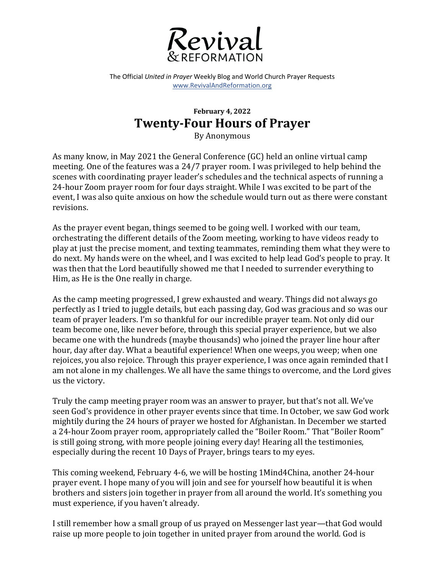

The Official *United in Prayer* Weekly Blog and World Church Prayer Requests www.RevivalAndReformation.org

## **February 4, 2022 Twenty-Four Hours of Prayer**

By Anonymous

As many know, in May 2021 the General Conference (GC) held an online virtual camp meeting. One of the features was a  $24/7$  prayer room. I was privileged to help behind the scenes with coordinating prayer leader's schedules and the technical aspects of running a 24-hour Zoom prayer room for four days straight. While I was excited to be part of the event, I was also quite anxious on how the schedule would turn out as there were constant revisions. 

As the prayer event began, things seemed to be going well. I worked with our team, orchestrating the different details of the Zoom meeting, working to have videos ready to play at just the precise moment, and texting teammates, reminding them what they were to do next. My hands were on the wheel, and I was excited to help lead God's people to pray. It was then that the Lord beautifully showed me that I needed to surrender everything to Him, as He is the One really in charge.

As the camp meeting progressed, I grew exhausted and weary. Things did not always go perfectly as I tried to juggle details, but each passing day, God was gracious and so was our team of prayer leaders. I'm so thankful for our incredible prayer team. Not only did our team become one, like never before, through this special prayer experience, but we also became one with the hundreds (maybe thousands) who joined the prayer line hour after hour, day after day. What a beautiful experience! When one weeps, you weep; when one rejoices, you also rejoice. Through this prayer experience, I was once again reminded that I am not alone in my challenges. We all have the same things to overcome, and the Lord gives us the victory.

Truly the camp meeting prayer room was an answer to prayer, but that's not all. We've seen God's providence in other prayer events since that time. In October, we saw God work mightily during the 24 hours of prayer we hosted for Afghanistan. In December we started a 24-hour Zoom prayer room, appropriately called the "Boiler Room." That "Boiler Room" is still going strong, with more people joining every day! Hearing all the testimonies, especially during the recent 10 Days of Prayer, brings tears to my eyes.

This coming weekend, February 4-6, we will be hosting 1Mind4China, another 24-hour prayer event. I hope many of you will join and see for yourself how beautiful it is when brothers and sisters join together in prayer from all around the world. It's something you must experience, if you haven't already.

I still remember how a small group of us prayed on Messenger last year—that God would raise up more people to join together in united prayer from around the world. God is